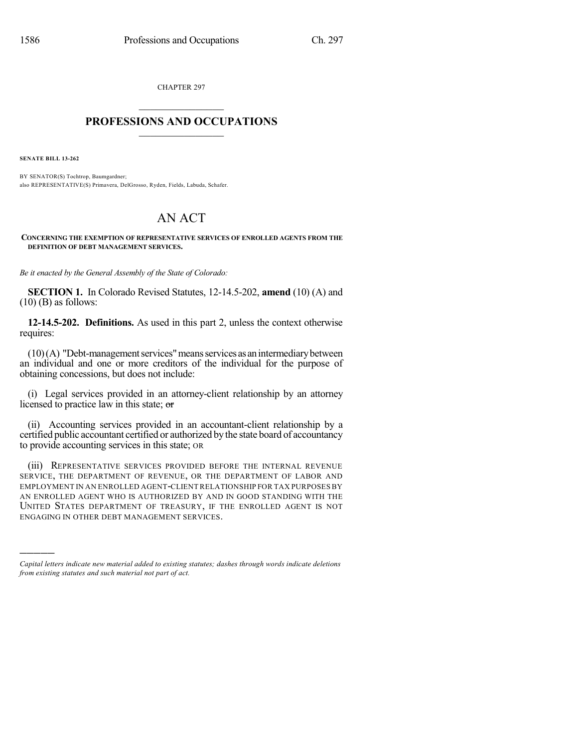CHAPTER 297

## $\mathcal{L}_\text{max}$  . The set of the set of the set of the set of the set of the set of the set of the set of the set of the set of the set of the set of the set of the set of the set of the set of the set of the set of the set **PROFESSIONS AND OCCUPATIONS**  $\frac{1}{2}$  ,  $\frac{1}{2}$  ,  $\frac{1}{2}$  ,  $\frac{1}{2}$  ,  $\frac{1}{2}$  ,  $\frac{1}{2}$

**SENATE BILL 13-262**

)))))

BY SENATOR(S) Tochtrop, Baumgardner; also REPRESENTATIVE(S) Primavera, DelGrosso, Ryden, Fields, Labuda, Schafer.

## AN ACT

**CONCERNING THE EXEMPTION OF REPRESENTATIVE SERVICES OF ENROLLED AGENTS FROM THE DEFINITION OF DEBT MANAGEMENT SERVICES.**

*Be it enacted by the General Assembly of the State of Colorado:*

**SECTION 1.** In Colorado Revised Statutes, 12-14.5-202, **amend** (10) (A) and  $(10)$  (B) as follows:

**12-14.5-202. Definitions.** As used in this part 2, unless the context otherwise requires:

 $(10)(A)$  "Debt-management services" means services as an intermediary between an individual and one or more creditors of the individual for the purpose of obtaining concessions, but does not include:

(i) Legal services provided in an attorney-client relationship by an attorney licensed to practice law in this state; or

(ii) Accounting services provided in an accountant-client relationship by a certified public accountant certified or authorized by the state board of accountancy to provide accounting services in this state; OR

(iii) REPRESENTATIVE SERVICES PROVIDED BEFORE THE INTERNAL REVENUE SERVICE, THE DEPARTMENT OF REVENUE, OR THE DEPARTMENT OF LABOR AND EMPLOYMENT IN AN ENROLLED AGENT-CLIENTRELATIONSHIP FOR TAX PURPOSES BY AN ENROLLED AGENT WHO IS AUTHORIZED BY AND IN GOOD STANDING WITH THE UNITED STATES DEPARTMENT OF TREASURY, IF THE ENROLLED AGENT IS NOT ENGAGING IN OTHER DEBT MANAGEMENT SERVICES.

*Capital letters indicate new material added to existing statutes; dashes through words indicate deletions from existing statutes and such material not part of act.*